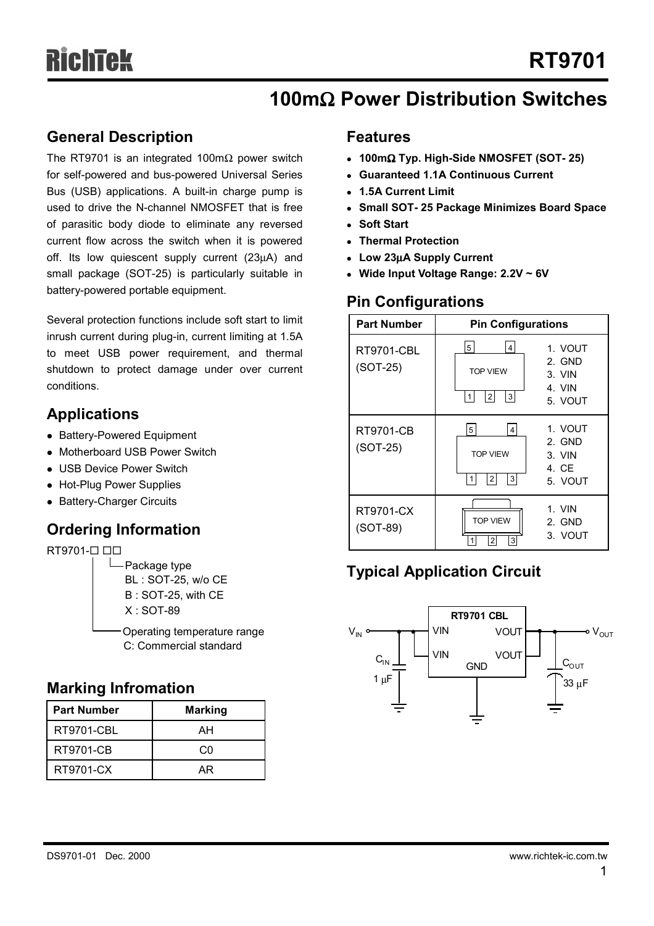## **100m**Ω **Power Distribution Switches**

### **General Description**

The RT9701 is an integrated 100m $\Omega$  power switch for self-powered and bus-powered Universal Series Bus (USB) applications. A built-in charge pump is used to drive the N-channel NMOSFET that is free of parasitic body diode to eliminate any reversed current flow across the switch when it is powered off. Its low quiescent supply current (23µA) and small package (SOT-25) is particularly suitable in battery-powered portable equipment.

Several protection functions include soft start to limit inrush current during plug-in, current limiting at 1.5A to meet USB power requirement, and thermal shutdown to protect damage under over current conditions.

## **Applications**

- Battery-Powered Equipment
- Motherboard USB Power Switch
- USB Device Power Switch
- Hot-Plug Power Supplies
- Battery-Charger Circuits

## **Ordering Information**

### RT9701-0 00

Operating temperature range  $\Box$ Package type BL : SOT-25, w/o CE B : SOT-25, with CE X : SOT-89

C: Commercial standard

### **Marking Infromation**

| <b>Part Number</b> | <b>Marking</b> |  |  |
|--------------------|----------------|--|--|
| <b>RT9701-CBL</b>  | AН             |  |  |
| RT9701-CB          | ററ             |  |  |
| RT9701-CX          | ΑR             |  |  |

### **Features**

- <sup>z</sup> **100m**Ω **Typ. High-Side NMOSFET (SOT- 25)**
- <sup>z</sup> **Guaranteed 1.1A Continuous Current**
- <sup>z</sup> **1.5A Current Limit**
- **Small SOT-25 Package Minimizes Board Space**
- <sup>z</sup> **Soft Start**
- **Thermal Protection**
- <sup>z</sup> **Low 23**µ**A Supply Current**
- Wide Input Voltage Range: 2.2V ~ 6V

## **Pin Configurations**



## **Typical Application Circuit**

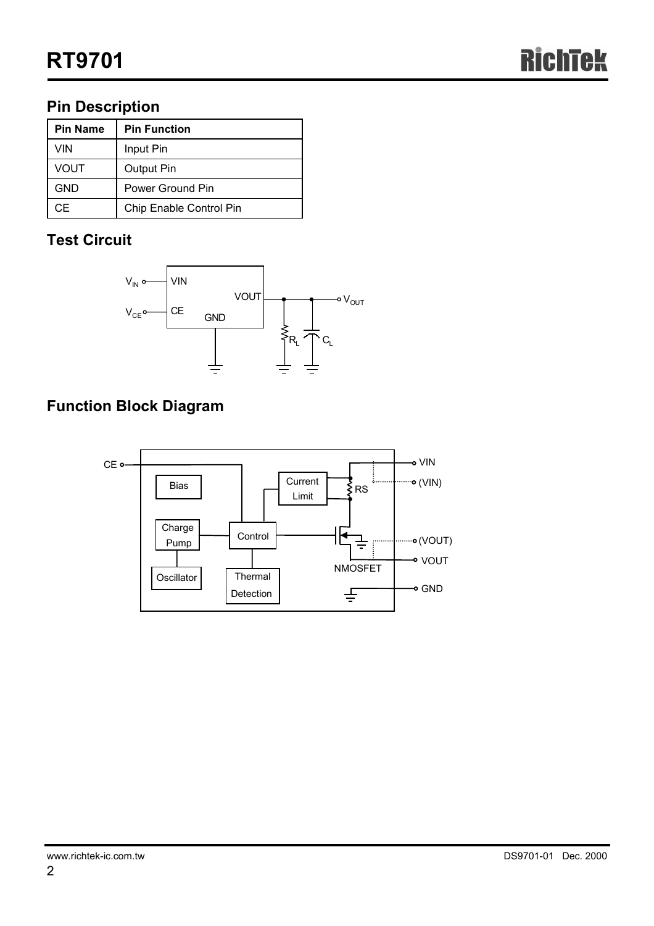## **Pin Description**

| <b>Pin Name</b> | <b>Pin Function</b>     |
|-----------------|-------------------------|
| VIN             | Input Pin               |
| VOUT            | <b>Output Pin</b>       |
| GND             | Power Ground Pin        |
| ΩF.             | Chip Enable Control Pin |

## **Test Circuit**



## **Function Block Diagram**

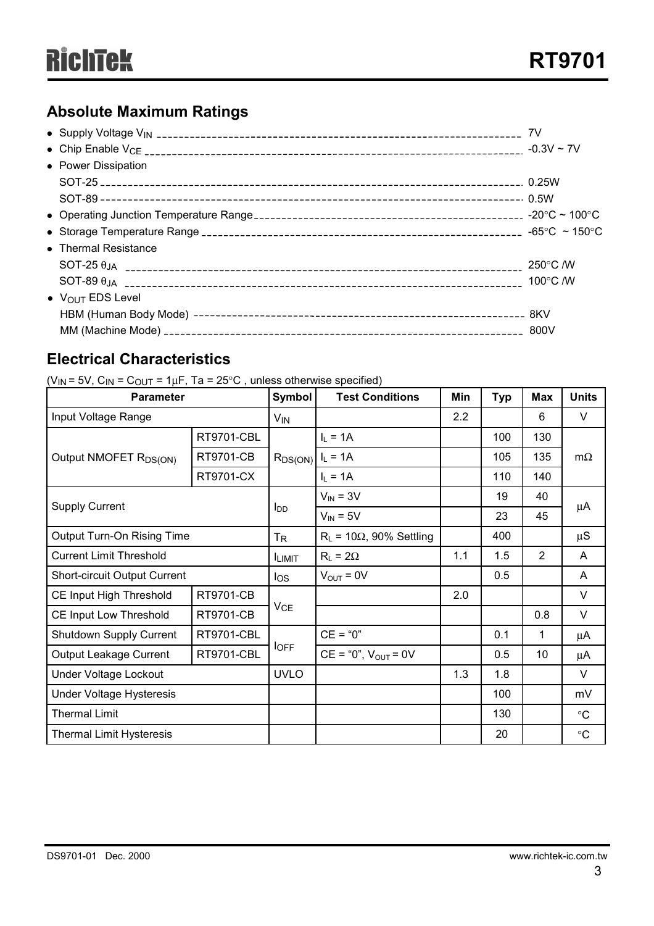## **Absolute Maximum Ratings**

|                                      | 7V                 |
|--------------------------------------|--------------------|
|                                      |                    |
| • Power Dissipation                  |                    |
|                                      |                    |
|                                      |                    |
|                                      |                    |
|                                      |                    |
| • Thermal Resistance                 |                    |
|                                      | 250°C /W           |
|                                      | 100 $\degree$ C /W |
| $\bullet$ V <sub>OUT</sub> EDS Level |                    |
|                                      |                    |
|                                      |                    |

## **Electrical Characteristics**

( $V_{IN}$  = 5V,  $C_{IN}$  =  $C_{OUT}$  = 1µF, Ta = 25°C, unless otherwise specified)

| <b>Parameter</b>                    |                   | Symbol                 | <b>Test Conditions</b>             | Min | <b>Typ</b> | <b>Max</b>     | <b>Units</b>      |
|-------------------------------------|-------------------|------------------------|------------------------------------|-----|------------|----------------|-------------------|
| Input Voltage Range                 |                   | $V_{IN}$               |                                    | 2.2 |            | 6              | V                 |
| Output NMOFET R <sub>DS(ON)</sub>   | <b>RT9701-CBL</b> | $R_{DS(ON)}$           | $I_L = 1A$                         |     | 100        | 130            | $m\Omega$         |
|                                     | <b>RT9701-CB</b>  |                        | $I_L = 1A$                         |     | 105        | 135            |                   |
|                                     | RT9701-CX         |                        | $I_L = 1A$                         |     | 110        | 140            |                   |
| <b>Supply Current</b>               |                   | <b>I</b> <sub>DD</sub> | $V_{IN} = 3V$                      |     | 19         | 40             | μA                |
|                                     |                   |                        | $V_{IN} = 5V$                      |     | 23         | 45             |                   |
| Output Turn-On Rising Time          |                   | $T_{\mathsf{R}}$       | $R_L$ = 10 $\Omega$ , 90% Settling |     | 400        |                | $\mu S$           |
| <b>Current Limit Threshold</b>      |                   | <b>ILIMIT</b>          | $R_L = 2\Omega$                    | 1.1 | 1.5        | $\overline{2}$ | A                 |
| <b>Short-circuit Output Current</b> |                   | los                    | $V_{\text{OUT}} = 0V$              |     | 0.5        |                | A                 |
| CE Input High Threshold             | <b>RT9701-CB</b>  |                        |                                    | 2.0 |            |                | V                 |
| CE Input Low Threshold              | <b>RT9701-CB</b>  | VCE                    |                                    |     |            | 0.8            | V                 |
| Shutdown Supply Current             | <b>RT9701-CBL</b> |                        | $CE = "0"$                         |     | 0.1        | 1              | $\mu$ A           |
| Output Leakage Current              | <b>RT9701-CBL</b> | <b>I</b> OFF           | $CE = "0", VOUT = 0V$              |     | 0.5        | 10             | $\mu$ A           |
| Under Voltage Lockout               |                   | <b>UVLO</b>            |                                    | 1.3 | 1.8        |                | V                 |
| <b>Under Voltage Hysteresis</b>     |                   |                        |                                    |     | 100        |                | mV                |
| <b>Thermal Limit</b>                |                   |                        |                                    |     | 130        |                | $^\circ \text{C}$ |
| <b>Thermal Limit Hysteresis</b>     |                   |                        |                                    |     | 20         |                | $\circ$ C         |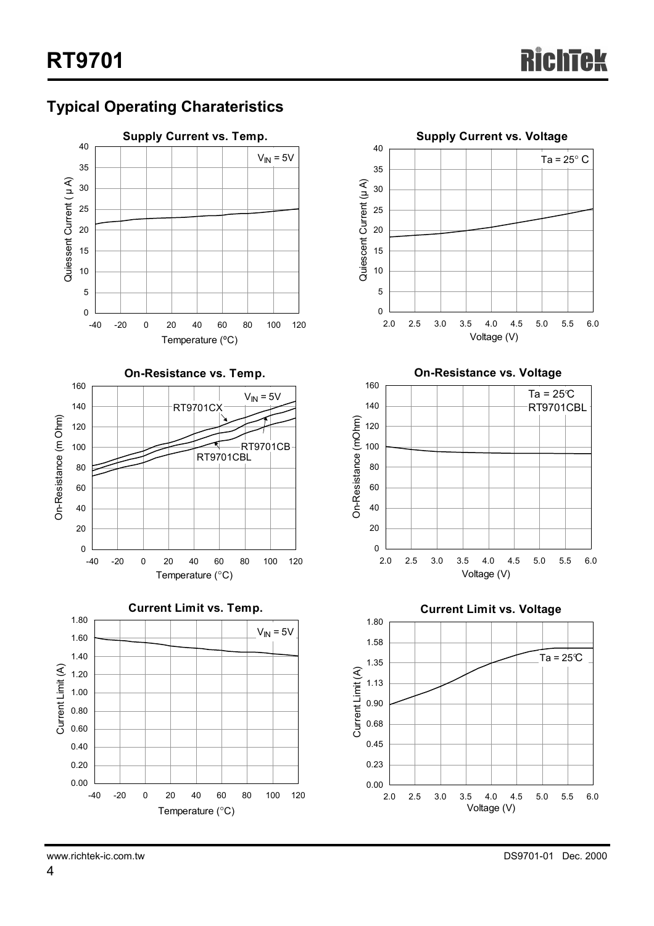## **Typical Operating Charateristics**





**On-Resistance vs. Voltage**





www.richtek-ic.com.tw DS9701-01 Dec. 2000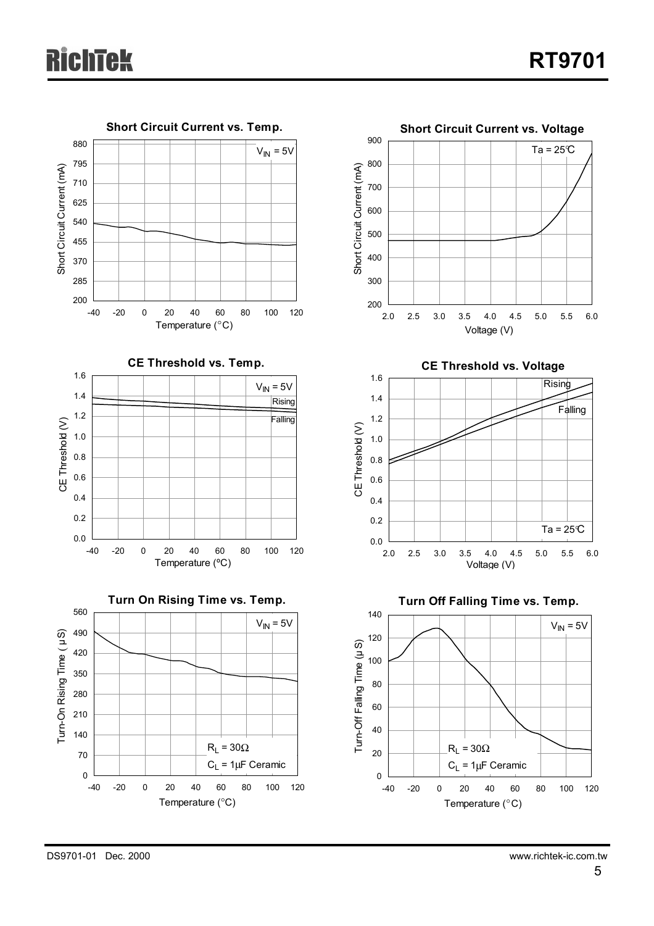

DS9701-01 Dec. 2000 www.richtek-ic.com.tw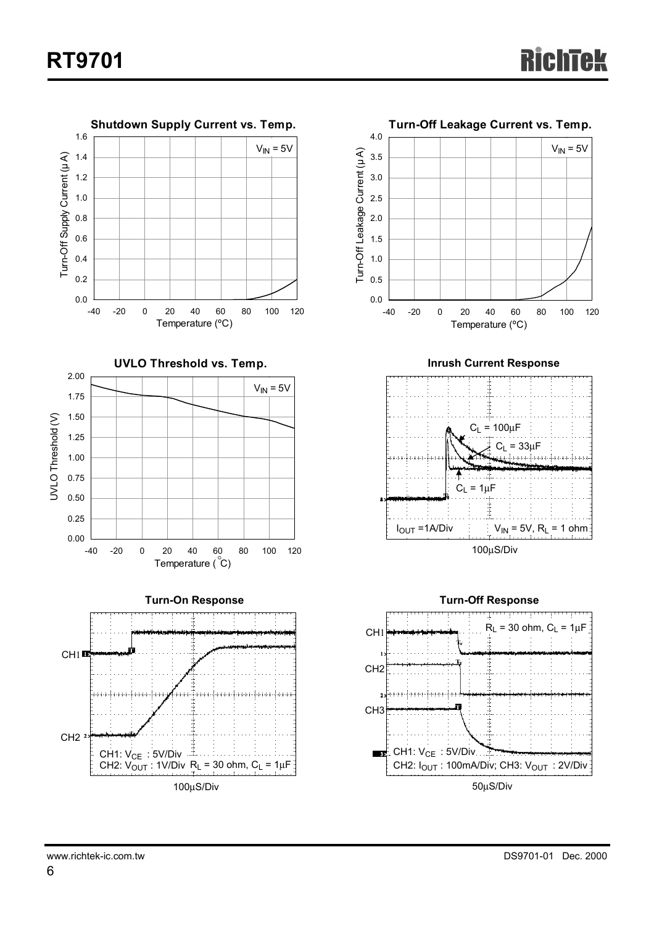



**Inrush Current Response**



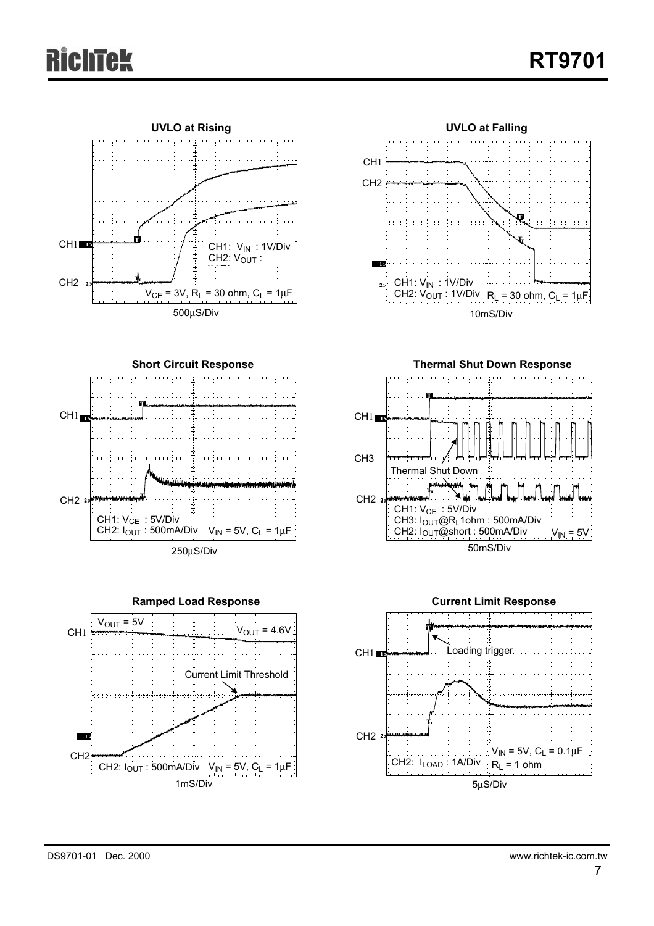# ichTek





**Short Circuit Response T**  $CH1$   $\blacksquare$ inne ferre frem ferre ferre frem ferre ferre ferre ferre **T T** CH2 2> CH1: V<sub>CE</sub>: 5V/Div CH2: I<sub>OUT</sub> : 500mA/Div  $V_{IN}$  = 5V,  $C_L$  = 1 $\mu$ F 250µS/Div



**Thermal Shut Down Response**



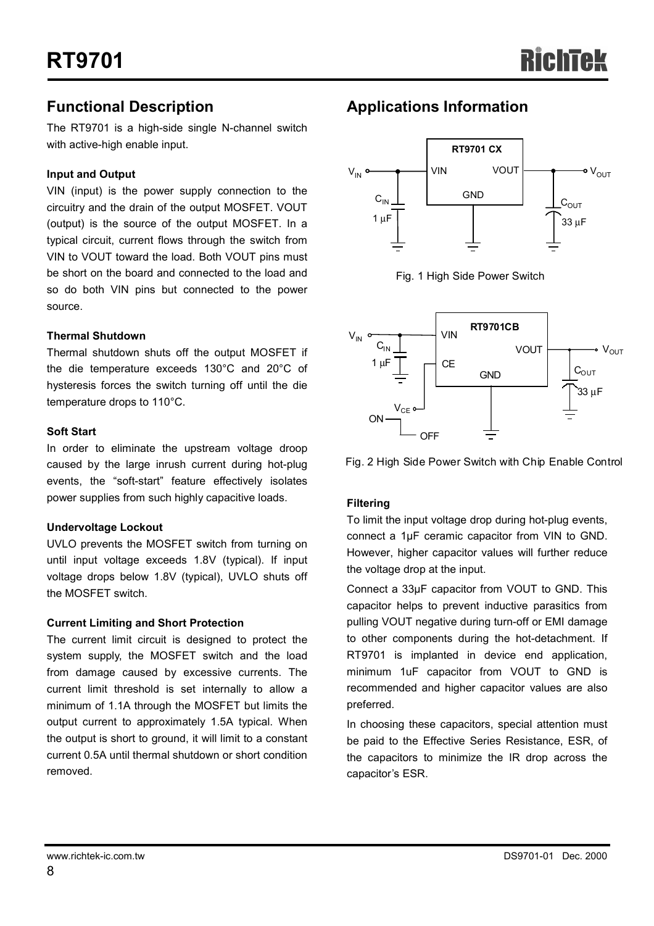### **Functional Description**

The RT9701 is a high-side single N-channel switch with active-high enable input.

### **Input and Output**

VIN (input) is the power supply connection to the circuitry and the drain of the output MOSFET. VOUT (output) is the source of the output MOSFET. In a typical circuit, current flows through the switch from VIN to VOUT toward the load. Both VOUT pins must be short on the board and connected to the load and so do both VIN pins but connected to the power source.

### **Thermal Shutdown**

Thermal shutdown shuts off the output MOSFET if the die temperature exceeds 130°C and 20°C of hysteresis forces the switch turning off until the die temperature drops to 110°C.

### **Soft Start**

In order to eliminate the upstream voltage droop caused by the large inrush current during hot-plug events, the "soft-start" feature effectively isolates power supplies from such highly capacitive loads.

### **Undervoltage Lockout**

UVLO prevents the MOSFET switch from turning on until input voltage exceeds 1.8V (typical). If input voltage drops below 1.8V (typical), UVLO shuts off the MOSFET switch.

### **Current Limiting and Short Protection**

The current limit circuit is designed to protect the system supply, the MOSFET switch and the load from damage caused by excessive currents. The current limit threshold is set internally to allow a minimum of 1.1A through the MOSFET but limits the output current to approximately 1.5A typical. When the output is short to ground, it will limit to a constant current 0.5A until thermal shutdown or short condition removed.

## **Applications Information**



Fig. 1 High Side Power Switch



Fig. 2 High Side Power Switch with Chip Enable Control

### **Filtering**

To limit the input voltage drop during hot-plug events, connect a 1µF ceramic capacitor from VIN to GND. However, higher capacitor values will further reduce the voltage drop at the input.

Connect a 33µF capacitor from VOUT to GND. This capacitor helps to prevent inductive parasitics from pulling VOUT negative during turn-off or EMI damage to other components during the hot-detachment. If RT9701 is implanted in device end application, minimum 1uF capacitor from VOUT to GND is recommended and higher capacitor values are also preferred.

In choosing these capacitors, special attention must be paid to the Effective Series Resistance, ESR, of the capacitors to minimize the IR drop across the capacitor's ESR.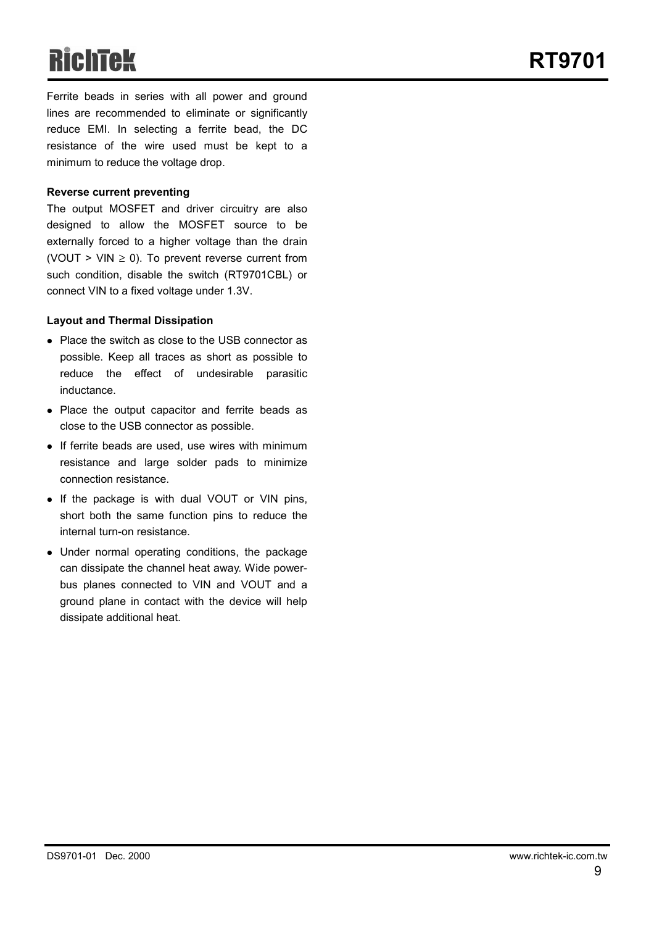# RichTek

 **RT9701**

Ferrite beads in series with all power and ground lines are recommended to eliminate or significantly reduce EMI. In selecting a ferrite bead, the DC resistance of the wire used must be kept to a minimum to reduce the voltage drop.

#### **Reverse current preventing**

The output MOSFET and driver circuitry are also designed to allow the MOSFET source to be externally forced to a higher voltage than the drain (VOUT > VIN  $\geq$  0). To prevent reverse current from such condition, disable the switch (RT9701CBL) or connect VIN to a fixed voltage under 1.3V.

#### **Layout and Thermal Dissipation**

- Place the switch as close to the USB connector as possible. Keep all traces as short as possible to reduce the effect of undesirable parasitic inductance.
- Place the output capacitor and ferrite beads as close to the USB connector as possible.
- $\bullet$  If ferrite beads are used, use wires with minimum resistance and large solder pads to minimize connection resistance.
- If the package is with dual VOUT or VIN pins, short both the same function pins to reduce the internal turn-on resistance.
- Under normal operating conditions, the package can dissipate the channel heat away. Wide powerbus planes connected to VIN and VOUT and a ground plane in contact with the device will help dissipate additional heat.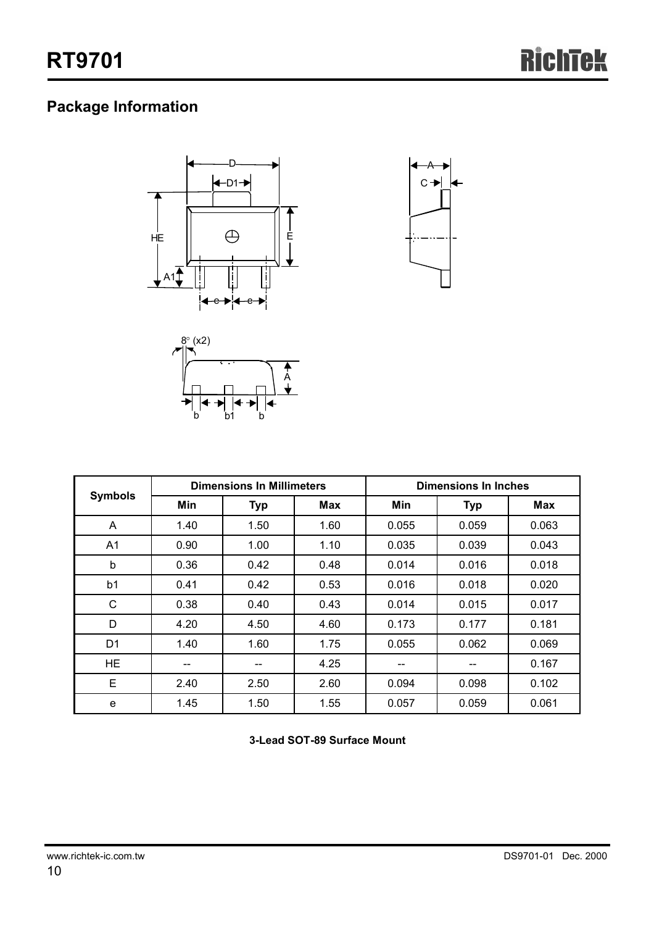## **Package Information**





|                |      | <b>Dimensions In Millimeters</b> |      | <b>Dimensions In Inches</b> |            |            |  |
|----------------|------|----------------------------------|------|-----------------------------|------------|------------|--|
| <b>Symbols</b> | Min  | <b>Typ</b>                       | Max  | Min                         | <b>Typ</b> | <b>Max</b> |  |
| A              | 1.40 | 1.50                             | 1.60 | 0.055                       | 0.059      | 0.063      |  |
| A <sub>1</sub> | 0.90 | 1.00                             | 1.10 | 0.035                       | 0.039      | 0.043      |  |
| b              | 0.36 | 0.42                             | 0.48 | 0.014                       | 0.016      | 0.018      |  |
| b <sub>1</sub> | 0.41 | 0.42                             | 0.53 | 0.016                       | 0.018      | 0.020      |  |
| C              | 0.38 | 0.40                             | 0.43 | 0.014                       | 0.015      | 0.017      |  |
| D              | 4.20 | 4.50                             | 4.60 | 0.173                       | 0.177      | 0.181      |  |
| D <sub>1</sub> | 1.40 | 1.60                             | 1.75 | 0.055                       | 0.062      | 0.069      |  |
| HE.            | --   | --                               | 4.25 | --                          |            | 0.167      |  |
| E              | 2.40 | 2.50                             | 2.60 | 0.094                       | 0.098      | 0.102      |  |
| e              | 1.45 | 1.50                             | 1.55 | 0.057                       | 0.059      | 0.061      |  |

**3-Lead SOT-89 Surface Mount**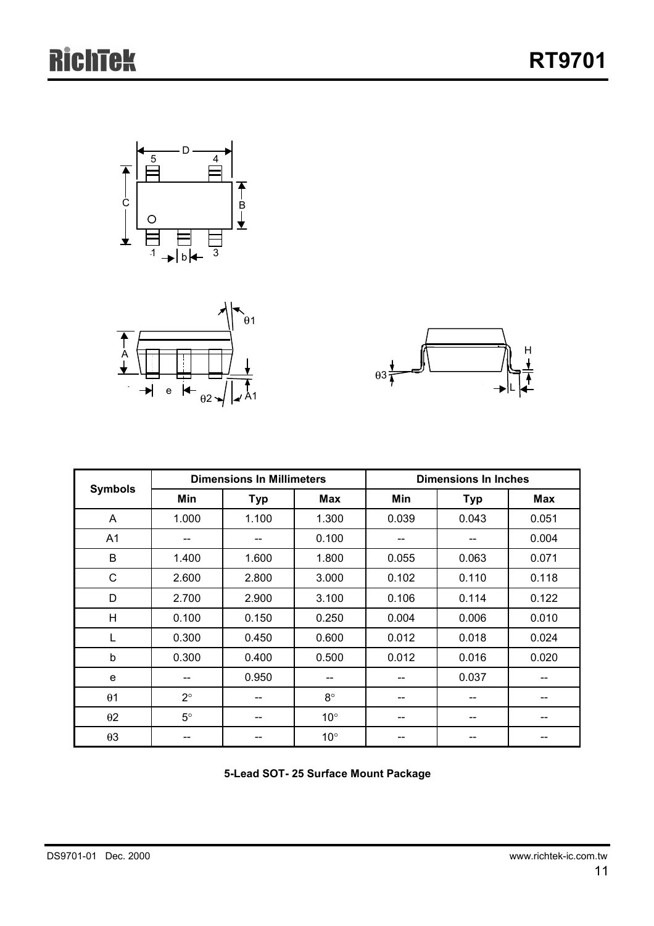





| <b>Symbols</b> |             | <b>Dimensions In Millimeters</b> |              | <b>Dimensions In Inches</b> |            |            |  |
|----------------|-------------|----------------------------------|--------------|-----------------------------|------------|------------|--|
|                | Min         | <b>Typ</b>                       | <b>Max</b>   | Min                         | <b>Typ</b> | <b>Max</b> |  |
| A              | 1.000       | 1.100                            | 1.300        | 0.039                       | 0.043      | 0.051      |  |
| A1             | --          |                                  | 0.100        | --                          | --         | 0.004      |  |
| B              | 1.400       | 1.600                            | 1.800        | 0.055                       | 0.063      | 0.071      |  |
| C              | 2.600       | 2.800                            | 3.000        | 0.102                       | 0.110      | 0.118      |  |
| D              | 2.700       | 2.900                            | 3.100        | 0.106                       | 0.114      | 0.122      |  |
| H              | 0.100       | 0.150                            | 0.250        | 0.004                       | 0.006      | 0.010      |  |
| L              | 0.300       | 0.450                            | 0.600        | 0.012                       | 0.018      | 0.024      |  |
| b              | 0.300       | 0.400                            | 0.500        | 0.012                       | 0.016      | 0.020      |  |
| e              | --          | 0.950                            | --           |                             | 0.037      | --         |  |
| $\theta$ 1     | $2^{\circ}$ |                                  | $8^\circ$    |                             |            |            |  |
| $\theta$ 2     | $5^{\circ}$ |                                  | $10^{\circ}$ | --                          |            |            |  |
| $\theta$ 3     | --          |                                  | $10^{\circ}$ | --                          |            |            |  |

**5-Lead SOT- 25 Surface Mount Package**